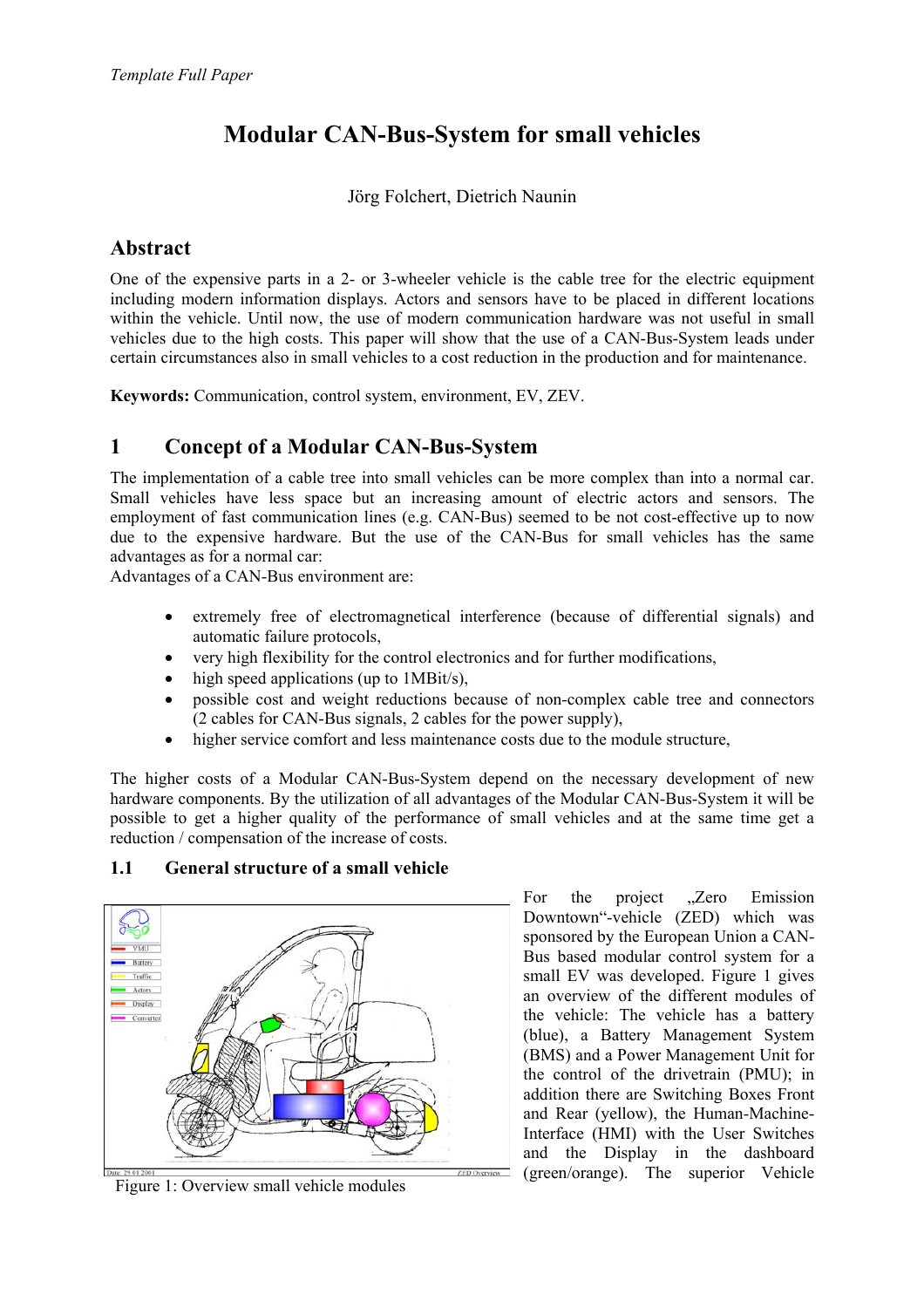# **Modular CAN-Bus-System for small vehicles**

#### Jörg Folchert, Dietrich Naunin

### **Abstract**

One of the expensive parts in a 2- or 3-wheeler vehicle is the cable tree for the electric equipment including modern information displays. Actors and sensors have to be placed in different locations within the vehicle. Until now, the use of modern communication hardware was not useful in small vehicles due to the high costs. This paper will show that the use of a CAN-Bus-System leads under certain circumstances also in small vehicles to a cost reduction in the production and for maintenance.

**Keywords:** Communication, control system, environment, EV, ZEV.

### **1 Concept of a Modular CAN-Bus-System**

The implementation of a cable tree into small vehicles can be more complex than into a normal car. Small vehicles have less space but an increasing amount of electric actors and sensors. The employment of fast communication lines (e.g. CAN-Bus) seemed to be not cost-effective up to now due to the expensive hardware. But the use of the CAN-Bus for small vehicles has the same advantages as for a normal car:

Advantages of a CAN-Bus environment are:

- extremely free of electromagnetical interference (because of differential signals) and automatic failure protocols,
- very high flexibility for the control electronics and for further modifications,
- high speed applications (up to 1MBit/s),
- possible cost and weight reductions because of non-complex cable tree and connectors (2 cables for CAN-Bus signals, 2 cables for the power supply),
- higher service comfort and less maintenance costs due to the module structure,

The higher costs of a Modular CAN-Bus-System depend on the necessary development of new hardware components. By the utilization of all advantages of the Modular CAN-Bus-System it will be possible to get a higher quality of the performance of small vehicles and at the same time get a reduction / compensation of the increase of costs.

### **1.1 General structure of a small vehicle**



For the project ...Zero Emission Downtown"-vehicle (ZED) which was sponsored by the European Union a CAN-Bus based modular control system for a small EV was developed. Figure 1 gives an overview of the different modules of the vehicle: The vehicle has a battery (blue), a Battery Management System (BMS) and a Power Management Unit for the control of the drivetrain (PMU); in addition there are Switching Boxes Front and Rear (yellow), the Human-Machine-Interface (HMI) with the User Switches and the Display in the dashboard  $\frac{1}{2ED\cdot\text{Average}}$  (green/orange). The superior Vehicle Figure 1: Overview small vehicle modules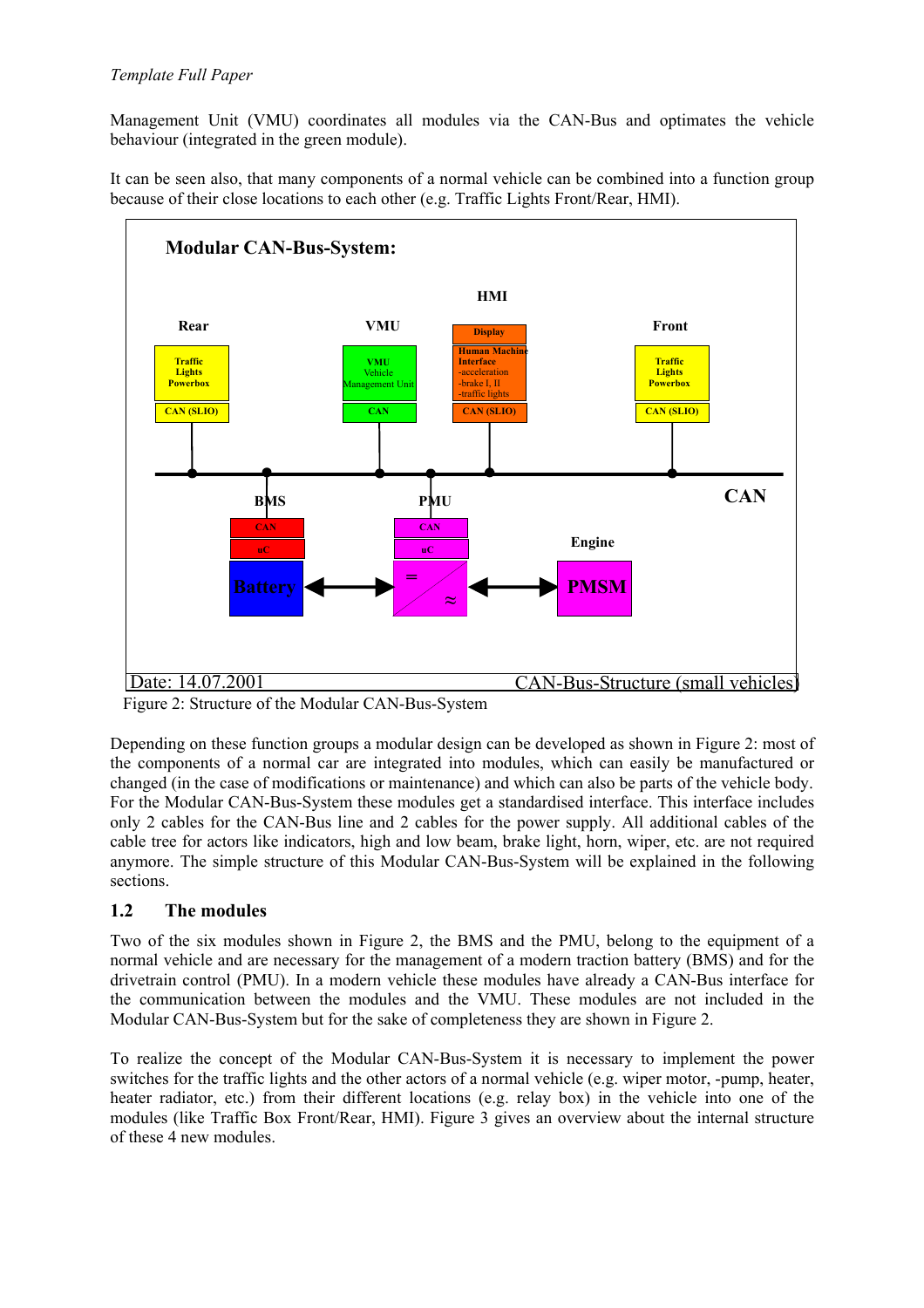Management Unit (VMU) coordinates all modules via the CAN-Bus and optimates the vehicle behaviour (integrated in the green module).

It can be seen also, that many components of a normal vehicle can be combined into a function group because of their close locations to each other (e.g. Traffic Lights Front/Rear, HMI).



Figure 2: Structure of the Modular CAN-Bus-System

Depending on these function groups a modular design can be developed as shown in Figure 2: most of the components of a normal car are integrated into modules, which can easily be manufactured or changed (in the case of modifications or maintenance) and which can also be parts of the vehicle body. For the Modular CAN-Bus-System these modules get a standardised interface. This interface includes only 2 cables for the CAN-Bus line and 2 cables for the power supply. All additional cables of the cable tree for actors like indicators, high and low beam, brake light, horn, wiper, etc. are not required anymore. The simple structure of this Modular CAN-Bus-System will be explained in the following sections.

#### **1.2 The modules**

Two of the six modules shown in Figure 2, the BMS and the PMU, belong to the equipment of a normal vehicle and are necessary for the management of a modern traction battery (BMS) and for the drivetrain control (PMU). In a modern vehicle these modules have already a CAN-Bus interface for the communication between the modules and the VMU. These modules are not included in the Modular CAN-Bus-System but for the sake of completeness they are shown in Figure 2.

To realize the concept of the Modular CAN-Bus-System it is necessary to implement the power switches for the traffic lights and the other actors of a normal vehicle (e.g. wiper motor, -pump, heater, heater radiator, etc.) from their different locations (e.g. relay box) in the vehicle into one of the modules (like Traffic Box Front/Rear, HMI). Figure 3 gives an overview about the internal structure of these 4 new modules.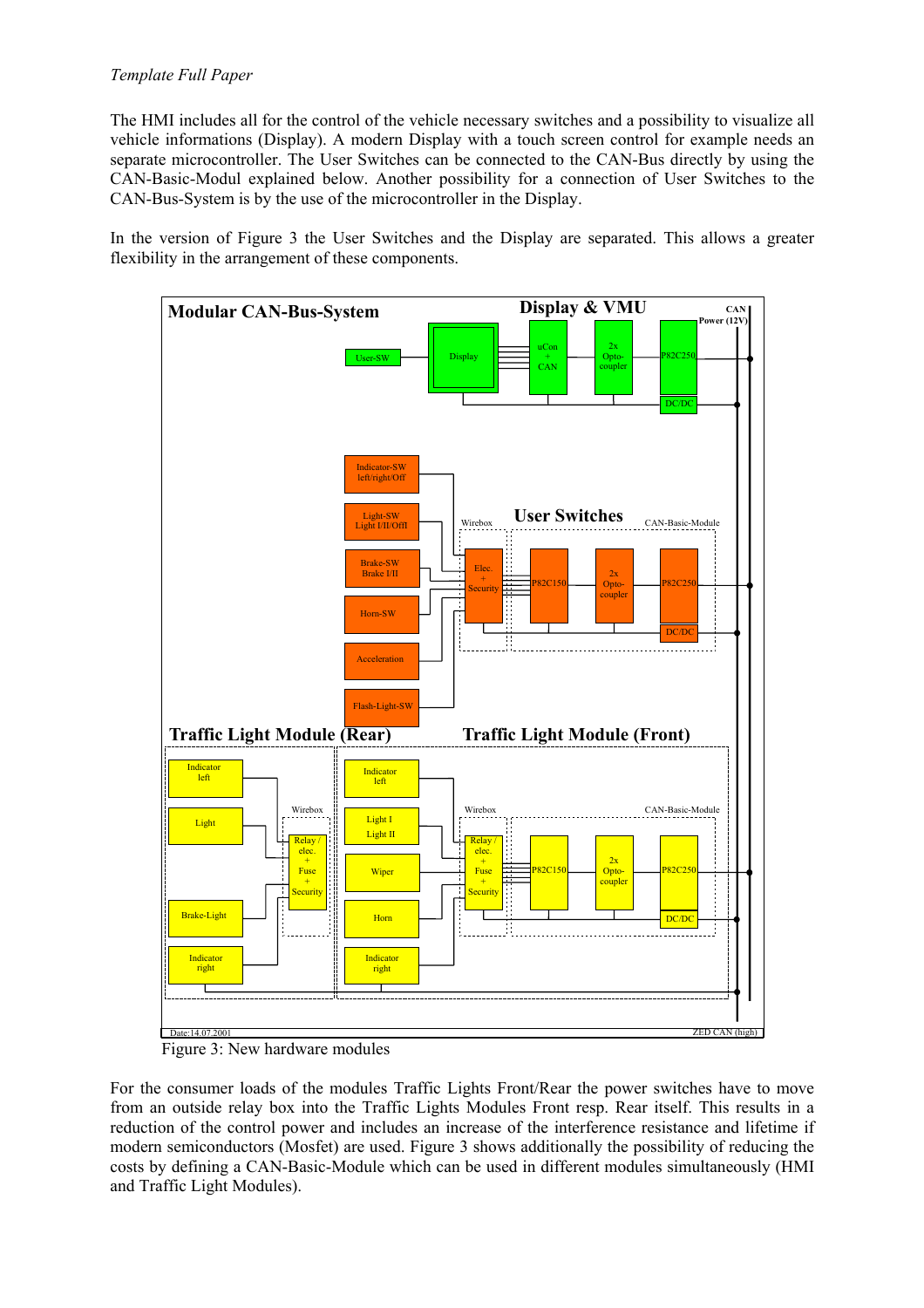The HMI includes all for the control of the vehicle necessary switches and a possibility to visualize all vehicle informations (Display). A modern Display with a touch screen control for example needs an separate microcontroller. The User Switches can be connected to the CAN-Bus directly by using the CAN-Basic-Modul explained below. Another possibility for a connection of User Switches to the CAN-Bus-System is by the use of the microcontroller in the Display.

In the version of Figure 3 the User Switches and the Display are separated. This allows a greater flexibility in the arrangement of these components.



Figure 3: New hardware modules

For the consumer loads of the modules Traffic Lights Front/Rear the power switches have to move from an outside relay box into the Traffic Lights Modules Front resp. Rear itself. This results in a reduction of the control power and includes an increase of the interference resistance and lifetime if modern semiconductors (Mosfet) are used. Figure 3 shows additionally the possibility of reducing the costs by defining a CAN-Basic-Module which can be used in different modules simultaneously (HMI and Traffic Light Modules).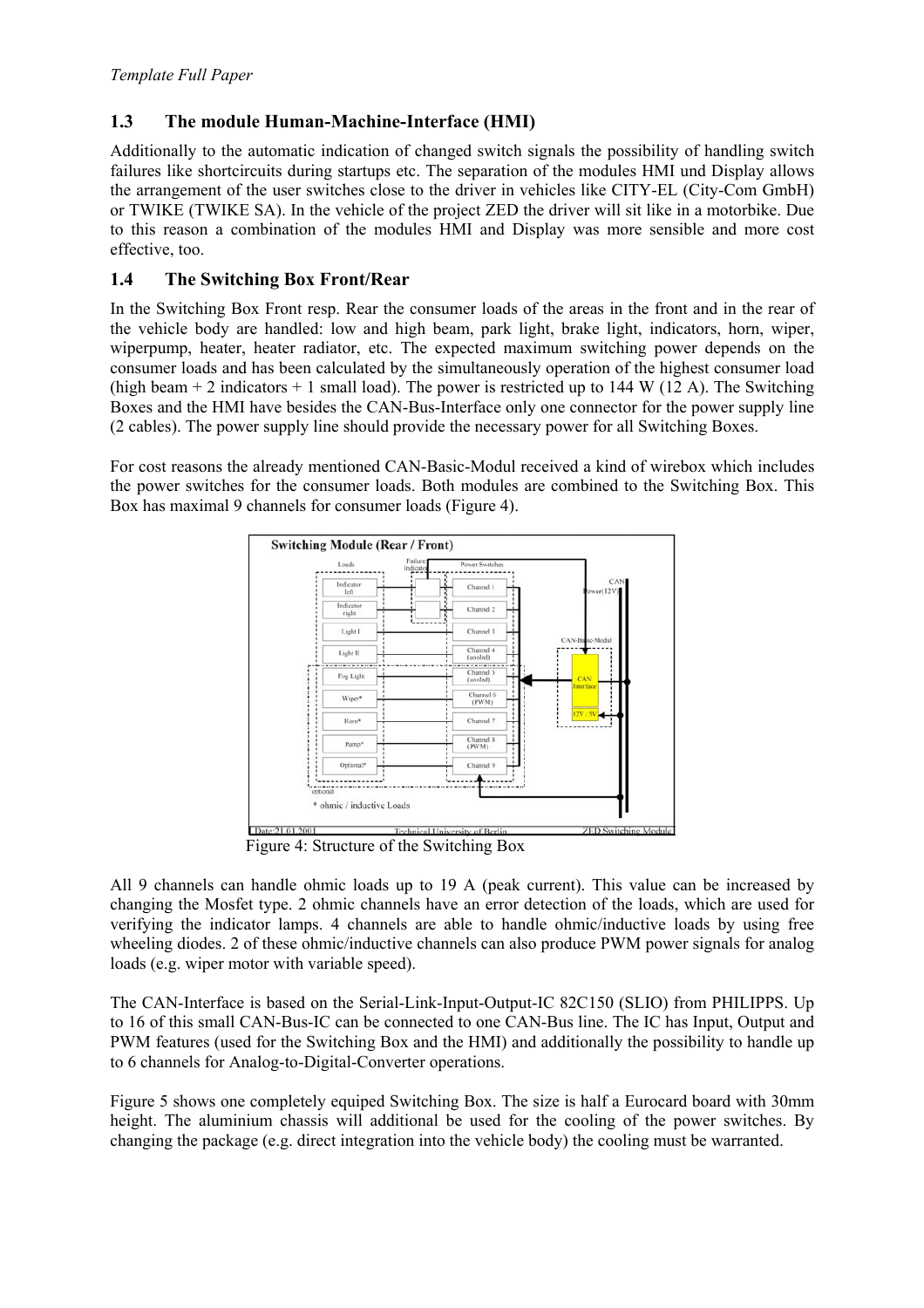#### **1.3 The module Human-Machine-Interface (HMI)**

Additionally to the automatic indication of changed switch signals the possibility of handling switch failures like shortcircuits during startups etc. The separation of the modules HMI und Display allows the arrangement of the user switches close to the driver in vehicles like CITY-EL (City-Com GmbH) or TWIKE (TWIKE SA). In the vehicle of the project ZED the driver will sit like in a motorbike. Due to this reason a combination of the modules HMI and Display was more sensible and more cost effective, too.

#### **1.4 The Switching Box Front/Rear**

In the Switching Box Front resp. Rear the consumer loads of the areas in the front and in the rear of the vehicle body are handled: low and high beam, park light, brake light, indicators, horn, wiper, wiperpump, heater, heater radiator, etc. The expected maximum switching power depends on the consumer loads and has been calculated by the simultaneously operation of the highest consumer load (high beam  $+2$  indicators  $+1$  small load). The power is restricted up to 144 W (12 A). The Switching Boxes and the HMI have besides the CAN-Bus-Interface only one connector for the power supply line (2 cables). The power supply line should provide the necessary power for all Switching Boxes.

For cost reasons the already mentioned CAN-Basic-Modul received a kind of wirebox which includes the power switches for the consumer loads. Both modules are combined to the Switching Box. This Box has maximal 9 channels for consumer loads (Figure 4).



Figure 4: Structure of the Switching Box

All 9 channels can handle ohmic loads up to 19 A (peak current). This value can be increased by changing the Mosfet type. 2 ohmic channels have an error detection of the loads, which are used for verifying the indicator lamps. 4 channels are able to handle ohmic/inductive loads by using free wheeling diodes. 2 of these ohmic/inductive channels can also produce PWM power signals for analog loads (e.g. wiper motor with variable speed).

The CAN-Interface is based on the Serial-Link-Input-Output-IC 82C150 (SLIO) from PHILIPPS. Up to 16 of this small CAN-Bus-IC can be connected to one CAN-Bus line. The IC has Input, Output and PWM features (used for the Switching Box and the HMI) and additionally the possibility to handle up to 6 channels for Analog-to-Digital-Converter operations.

Figure 5 shows one completely equiped Switching Box. The size is half a Eurocard board with 30mm height. The aluminium chassis will additional be used for the cooling of the power switches. By changing the package (e.g. direct integration into the vehicle body) the cooling must be warranted.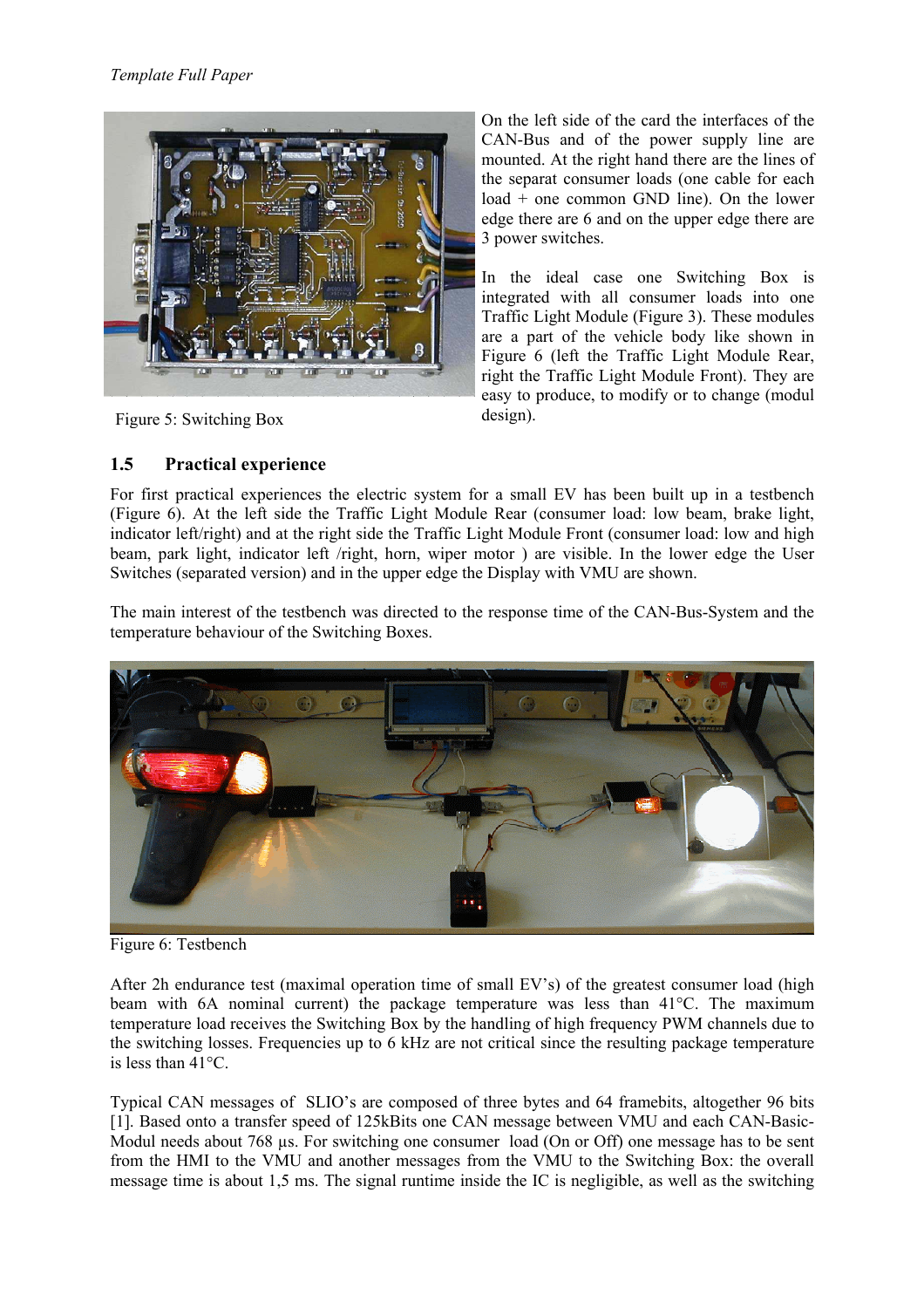

Figure 5: Switching Box

On the left side of the card the interfaces of the CAN-Bus and of the power supply line are mounted. At the right hand there are the lines of the separat consumer loads (one cable for each load + one common GND line). On the lower edge there are 6 and on the upper edge there are 3 power switches.

In the ideal case one Switching Box is integrated with all consumer loads into one Traffic Light Module (Figure 3). These modules are a part of the vehicle body like shown in Figure 6 (left the Traffic Light Module Rear, right the Traffic Light Module Front). They are easy to produce, to modify or to change (modul design).

#### **1.5 Practical experience**

For first practical experiences the electric system for a small EV has been built up in a testbench (Figure 6). At the left side the Traffic Light Module Rear (consumer load: low beam, brake light, indicator left/right) and at the right side the Traffic Light Module Front (consumer load: low and high beam, park light, indicator left /right, horn, wiper motor ) are visible. In the lower edge the User Switches (separated version) and in the upper edge the Display with VMU are shown.

The main interest of the testbench was directed to the response time of the CAN-Bus-System and the temperature behaviour of the Switching Boxes.



Figure 6: Testbench

After 2h endurance test (maximal operation time of small EV's) of the greatest consumer load (high beam with 6A nominal current) the package temperature was less than 41°C. The maximum temperature load receives the Switching Box by the handling of high frequency PWM channels due to the switching losses. Frequencies up to 6 kHz are not critical since the resulting package temperature is less than 41°C.

Typical CAN messages of SLIO's are composed of three bytes and 64 framebits, altogether 96 bits [1]. Based onto a transfer speed of 125kBits one CAN message between VMU and each CAN-Basic-Modul needs about 768 µs. For switching one consumer load (On or Off) one message has to be sent from the HMI to the VMU and another messages from the VMU to the Switching Box: the overall message time is about 1,5 ms. The signal runtime inside the IC is negligible, as well as the switching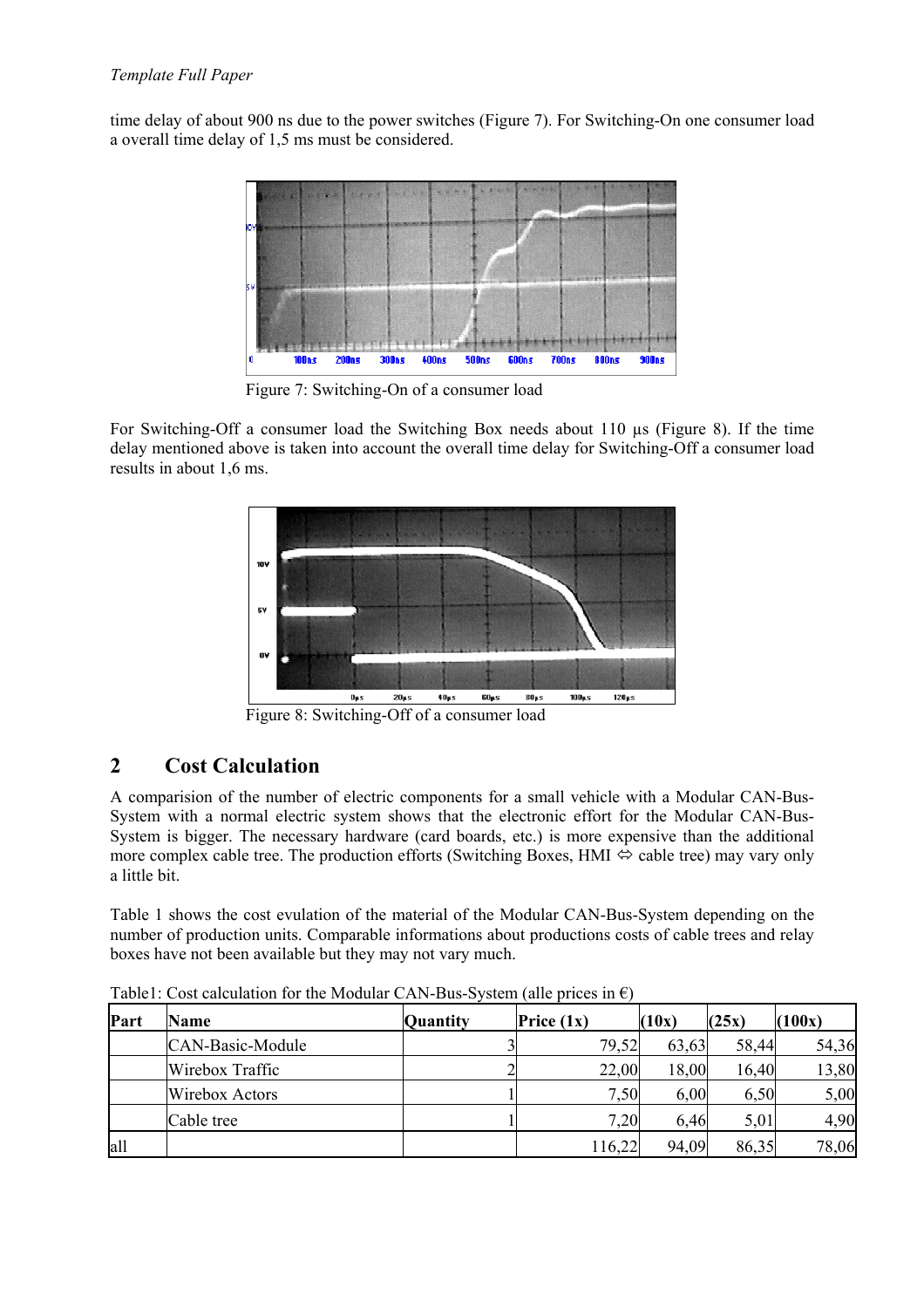time delay of about 900 ns due to the power switches (Figure 7). For Switching-On one consumer load a overall time delay of 1,5 ms must be considered.



Figure 7: Switching-On of a consumer load

For Switching-Off a consumer load the Switching Box needs about 110 µs (Figure 8). If the time delay mentioned above is taken into account the overall time delay for Switching-Off a consumer load results in about 1,6 ms.



Figure 8: Switching-Off of a consumer load

### **2 Cost Calculation**

A comparision of the number of electric components for a small vehicle with a Modular CAN-Bus-System with a normal electric system shows that the electronic effort for the Modular CAN-Bus-System is bigger. The necessary hardware (card boards, etc.) is more expensive than the additional more complex cable tree. The production efforts (Switching Boxes, HMI  $\Leftrightarrow$  cable tree) may vary only a little bit.

Table 1 shows the cost evulation of the material of the Modular CAN-Bus-System depending on the number of production units. Comparable informations about productions costs of cable trees and relay boxes have not been available but they may not vary much.

| Part | <b>Name</b>      | Quantity | Price $(1x)$ | (10x) | (25x) | (100x) |
|------|------------------|----------|--------------|-------|-------|--------|
|      | CAN-Basic-Module |          | 79,52        | 63,63 | 58,44 | 54,36  |
|      | Wirebox Traffic  |          | 22,00        | 18,00 | 16,40 | 13,80  |
|      | Wirebox Actors   |          | 7,50         | 6,00  | 6,50  | 5,00   |
|      | Cable tree       |          | 7,20         | 6.46  | 5,01  | 4,90   |
| all  |                  |          | 116,22       | 94,09 | 86,35 | 78,06  |

Table1: Cost calculation for the Modular CAN-Bus-System (alle prices in  $\epsilon$ )